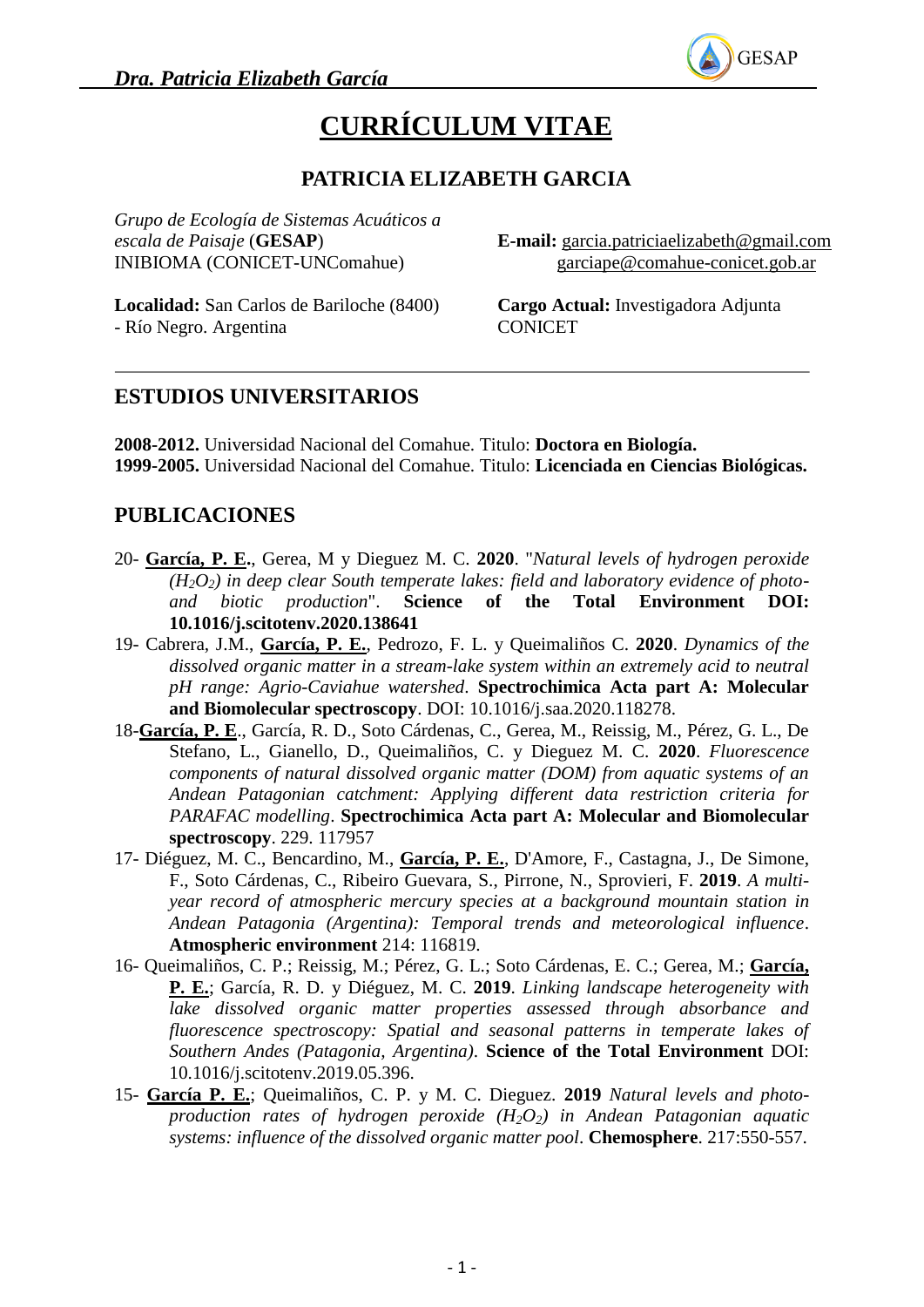

# **CURRÍCULUM VITAE**

# **PATRICIA ELIZABETH GARCIA**

*Grupo de Ecología de Sistemas Acuáticos a escala de Paisaje* (**GESAP**) INIBIOMA (CONICET-UNComahue)

**E-mail:** [garcia.patriciaelizabeth@gmail.com](mailto:garcia.patriciaelizabeth@gmail.com) garciape@comahue-conicet.gob.ar

**Localidad:** San Carlos de Bariloche (8400) - Río Negro. Argentina

**Cargo Actual:** Investigadora Adjunta CONICET

#### **ESTUDIOS UNIVERSITARIOS**

**2008-2012.** Universidad Nacional del Comahue. Titulo: **Doctora en Biología. 1999-2005.** Universidad Nacional del Comahue. Titulo: **Licenciada en Ciencias Biológicas.**

#### **PUBLICACIONES**

- 20- **García, P. E.**, Gerea, M y Dieguez M. C. **2020**. "*Natural levels of hydrogen peroxide (H2O2) in deep clear South temperate lakes: field and laboratory evidence of photoand biotic production*". **Science of the Total Environment DOI: 10.1016/j.scitotenv.2020.138641**
- 19- Cabrera, J.M., **García, P. E.**, Pedrozo, F. L. y Queimaliños C. **2020**. *Dynamics of the dissolved organic matter in a stream-lake system within an extremely acid to neutral pH range: Agrio-Caviahue watershed*. **Spectrochimica Acta part A: Molecular and Biomolecular spectroscopy**. DOI: 10.1016/j.saa.2020.118278.
- 18-**García, P. E**., García, R. D., Soto Cárdenas, C., Gerea, M., Reissig, M., Pérez, G. L., De Stefano, L., Gianello, D., Queimaliños, C. y Dieguez M. C. **2020**. *Fluorescence components of natural dissolved organic matter (DOM) from aquatic systems of an Andean Patagonian catchment: Applying different data restriction criteria for PARAFAC modelling*. **Spectrochimica Acta part A: Molecular and Biomolecular spectroscopy**. 229. 117957
- 17- Diéguez, M. C., Bencardino, M., **García, P. E.**, D'Amore, F., Castagna, J., De Simone, F., Soto Cárdenas, C., Ribeiro Guevara, S., Pirrone, N., Sprovieri, F. **2019**. *A multiyear record of atmospheric mercury species at a background mountain station in Andean Patagonia (Argentina): Temporal trends and meteorological influence*. **Atmospheric environment** 214: 116819.
- 16- Queimaliños, C. P.; Reissig, M.; Pérez, G. L.; Soto Cárdenas, E. C.; Gerea, M.; **García, P. E.**; García, R. D. y Diéguez, M. C. **2019**. *Linking landscape heterogeneity with lake dissolved organic matter properties assessed through absorbance and fluorescence spectroscopy: Spatial and seasonal patterns in temperate lakes of Southern Andes (Patagonia, Argentina)*. **Science of the Total Environment** DOI: 10.1016/j.scitotenv.2019.05.396.
- 15- **García P. E.**; Queimaliños, C. P. y M. C. Dieguez. **2019** *Natural levels and photoproduction rates of hydrogen peroxide (H2O2) in Andean Patagonian aquatic systems: influence of the dissolved organic matter pool*. **Chemosphere**. 217:550-557.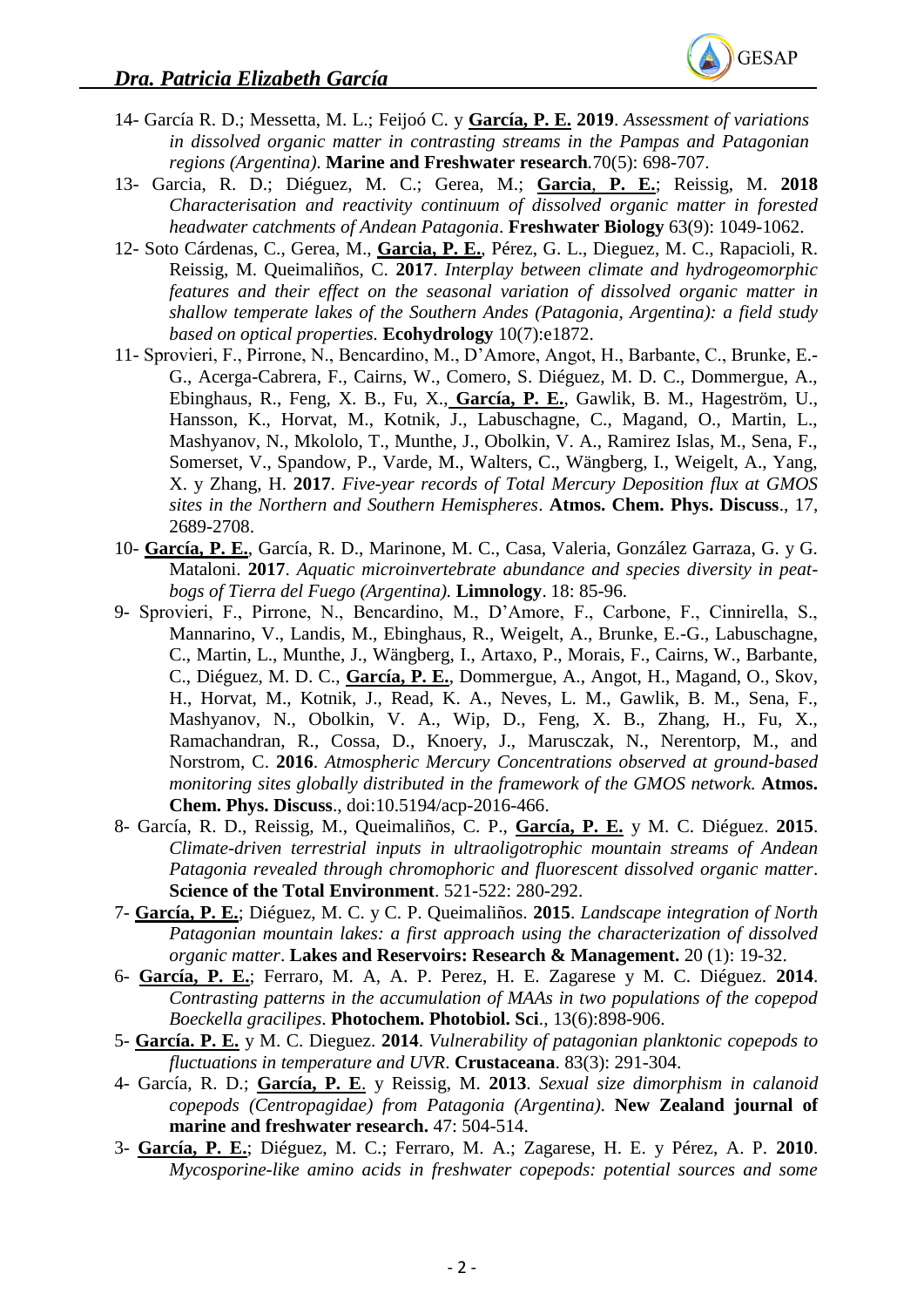

- 14- García R. D.; Messetta, M. L.; Feijoó C. y **García, P. E. 2019**. *Assessment of variations in dissolved organic matter in contrasting streams in the Pampas and Patagonian regions (Argentina)*. **Marine and Freshwater research***.*70(5): 698-707.
- 13- Garcia, R. D.; Diéguez, M. C.; Gerea, M.; **Garcia**, **P. E.**; Reissig, M. **2018** *Characterisation and reactivity continuum of dissolved organic matter in forested headwater catchments of Andean Patagonia*. **Freshwater Biology** 63(9): 1049-1062.
- 12- Soto Cárdenas, C., Gerea, M., **Garcia, P. E.**, Pérez, G. L., Dieguez, M. C., Rapacioli, R. Reissig, M. Queimaliños, C. **2017**. *Interplay between climate and hydrogeomorphic features and their effect on the seasonal variation of dissolved organic matter in shallow temperate lakes of the Southern Andes (Patagonia, Argentina): a field study based on optical properties.* **Ecohydrology** 10(7):e1872.
- 11- Sprovieri, F., Pirrone, N., Bencardino, M., D'Amore, Angot, H., Barbante, C., Brunke, E.- G., Acerga-Cabrera, F., Cairns, W., Comero, S. Diéguez, M. D. C., Dommergue, A., Ebinghaus, R., Feng, X. B., Fu, X., **García, P. E.**, Gawlik, B. M., Hageström, U., Hansson, K., Horvat, M., Kotnik, J., Labuschagne, C., Magand, O., Martin, L., Mashyanov, N., Mkololo, T., Munthe, J., Obolkin, V. A., Ramirez Islas, M., Sena, F., Somerset, V., Spandow, P., Varde, M., Walters, C., Wängberg, I., Weigelt, A., Yang, X. y Zhang, H. **2017**. *Five-year records of Total Mercury Deposition flux at GMOS sites in the Northern and Southern Hemispheres*. **Atmos. Chem. Phys. Discuss**., 17, 2689-2708.
- 10- **García, P. E.**, García, R. D., Marinone, M. C., Casa, Valeria, González Garraza, G. y G. Mataloni. **2017**. *Aquatic microinvertebrate abundance and species diversity in peatbogs of Tierra del Fuego (Argentina).* **Limnology**. 18: 85-96.
- 9- Sprovieri, F., Pirrone, N., Bencardino, M., D'Amore, F., Carbone, F., Cinnirella, S., Mannarino, V., Landis, M., Ebinghaus, R., Weigelt, A., Brunke, E.-G., Labuschagne, C., Martin, L., Munthe, J., Wängberg, I., Artaxo, P., Morais, F., Cairns, W., Barbante, C., Diéguez, M. D. C., **García, P. E.**, Dommergue, A., Angot, H., Magand, O., Skov, H., Horvat, M., Kotnik, J., Read, K. A., Neves, L. M., Gawlik, B. M., Sena, F., Mashyanov, N., Obolkin, V. A., Wip, D., Feng, X. B., Zhang, H., Fu, X., Ramachandran, R., Cossa, D., Knoery, J., Marusczak, N., Nerentorp, M., and Norstrom, C. **2016**. *Atmospheric Mercury Concentrations observed at ground-based monitoring sites globally distributed in the framework of the GMOS network.* **Atmos. Chem. Phys. Discuss**., doi:10.5194/acp-2016-466.
- 8- García, R. D., Reissig, M., Queimaliños, C. P., **García, P. E.** y M. C. Diéguez. **2015**. *Climate-driven terrestrial inputs in ultraoligotrophic mountain streams of Andean Patagonia revealed through chromophoric and fluorescent dissolved organic matter*. **Science of the Total Environment**. 521-522: 280-292.
- 7- **García, P. E.**; Diéguez, M. C. y C. P. Queimaliños. **2015**. *Landscape integration of North Patagonian mountain lakes: a first approach using the characterization of dissolved organic matter*. **Lakes and Reservoirs: Research & Management.** 20 (1): 19-32.
- 6- **García, P. E.**; Ferraro, M. A, A. P. Perez, H. E. Zagarese y M. C. Diéguez. **2014**. *Contrasting patterns in the accumulation of MAAs in two populations of the copepod Boeckella gracilipes*. **Photochem. Photobiol. Sci**., 13(6):898-906.
- 5- **García. P. E.** y M. C. Dieguez. **2014**. *Vulnerability of patagonian planktonic copepods to fluctuations in temperature and UVR*. **Crustaceana**. 83(3): 291-304.
- 4- García, R. D.; **García, P. E**. y Reissig, M. **2013**. *Sexual size dimorphism in calanoid copepods (Centropagidae) from Patagonia (Argentina)*. **New Zealand journal of marine and freshwater research.** 47: 504-514.
- 3- **García, P. E.**; Diéguez, M. C.; Ferraro, M. A.; Zagarese, H. E. y Pérez, A. P. **2010**. *Mycosporine-like amino acids in freshwater copepods: potential sources and some*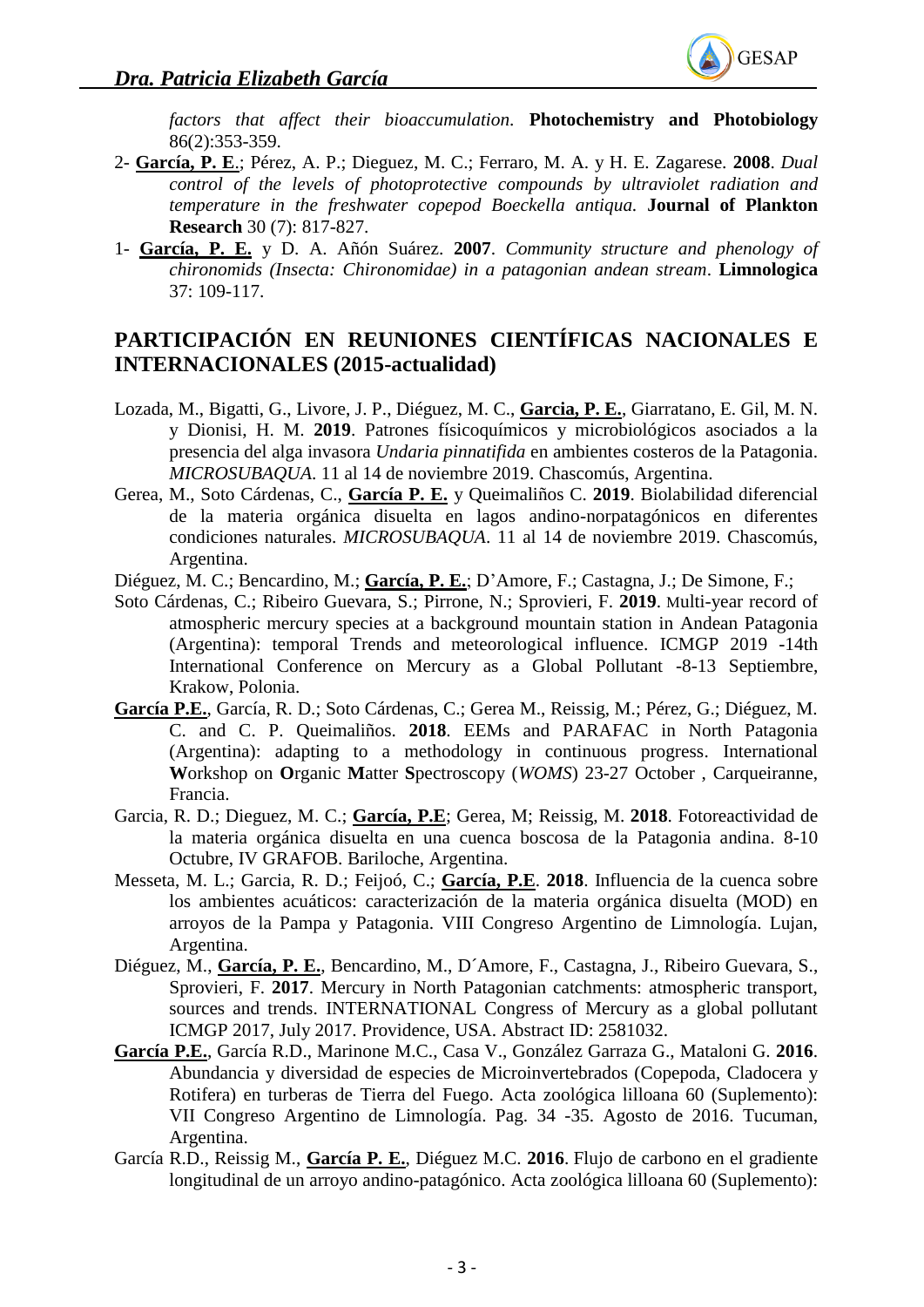

*factors that affect their bioaccumulation.* **Photochemistry and Photobiology** 86(2):353-359.

- 2- **García, P. E**.; Pérez, A. P.; Dieguez, M. C.; Ferraro, M. A. y H. E. Zagarese. **2008**. *Dual control of the levels of photoprotective compounds by ultraviolet radiation and temperature in the freshwater copepod Boeckella antiqua.* **Journal of Plankton Research** 30 (7): 817-827.
- 1- **García, P. E.** y D. A. Añón Suárez. **2007**. *Community structure and phenology of chironomids (Insecta: Chironomidae) in a patagonian andean stream*. **Limnologica** 37: 109-117.

## **PARTICIPACIÓN EN REUNIONES CIENTÍFICAS NACIONALES E INTERNACIONALES (2015-actualidad)**

- Lozada, M., Bigatti, G., Livore, J. P., Diéguez, M. C., **Garcia, P. E.**, Giarratano, E. Gil, M. N. y Dionisi, H. M. **2019**. Patrones físicoquímicos y microbiológicos asociados a la presencia del alga invasora *Undaria pinnatifida* en ambientes costeros de la Patagonia. *MICROSUBAQUA*. 11 al 14 de noviembre 2019. Chascomús, Argentina.
- Gerea, M., Soto Cárdenas, C., **García P. E.** y Queimaliños C. **2019**. Biolabilidad diferencial de la materia orgánica disuelta en lagos andino-norpatagónicos en diferentes condiciones naturales. *MICROSUBAQUA*. 11 al 14 de noviembre 2019. Chascomús, Argentina.
- Diéguez, M. C.; Bencardino, M.; **García, P. E.**; D'Amore, F.; Castagna, J.; De Simone, F.;
- Soto Cárdenas, C.; Ribeiro Guevara, S.; Pirrone, N.; Sprovieri, F. **2019**. Multi-year record of atmospheric mercury species at a background mountain station in Andean Patagonia (Argentina): temporal Trends and meteorological influence. ICMGP 2019 -14th International Conference on Mercury as a Global Pollutant -8-13 Septiembre, Krakow, Polonia.
- **García P.E.**, García, R. D.; Soto Cárdenas, C.; Gerea M., Reissig, M.; Pérez, G.; Diéguez, M. C. and C. P. Queimaliños. **2018**. EEMs and PARAFAC in North Patagonia (Argentina): adapting to a methodology in continuous progress. International **W**orkshop on **O**rganic **M**atter **S**pectroscopy (*WOMS*) 23-27 October , Carqueiranne, Francia.
- Garcia, R. D.; Dieguez, M. C.; **García, P.E**; Gerea, M; Reissig, M. **2018**. Fotoreactividad de la materia orgánica disuelta en una cuenca boscosa de la Patagonia andina. 8-10 Octubre, IV GRAFOB. Bariloche, Argentina.
- Messeta, M. L.; Garcia, R. D.; Feijoó, C.; **García, P.E**. **2018**. Influencia de la cuenca sobre los ambientes acuáticos: caracterización de la materia orgánica disuelta (MOD) en arroyos de la Pampa y Patagonia. VIII Congreso Argentino de Limnología. Lujan, Argentina.
- Diéguez, M., **García, P. E.**, Bencardino, M., D´Amore, F., Castagna, J., Ribeiro Guevara, S., Sprovieri, F. **2017**. Mercury in North Patagonian catchments: atmospheric transport, sources and trends. INTERNATIONAL Congress of Mercury as a global pollutant ICMGP 2017, July 2017. Providence, USA. Abstract ID: 2581032.
- **García P.E.**, García R.D., Marinone M.C., Casa V., González Garraza G., Mataloni G. **2016**. Abundancia y diversidad de especies de Microinvertebrados (Copepoda, Cladocera y Rotifera) en turberas de Tierra del Fuego. Acta zoológica lilloana 60 (Suplemento): VII Congreso Argentino de Limnología. Pag. 34 -35. Agosto de 2016. Tucuman, Argentina.
- García R.D., Reissig M., **García P. E.**, Diéguez M.C. **2016**. Flujo de carbono en el gradiente longitudinal de un arroyo andino-patagónico. Acta zoológica lilloana 60 (Suplemento):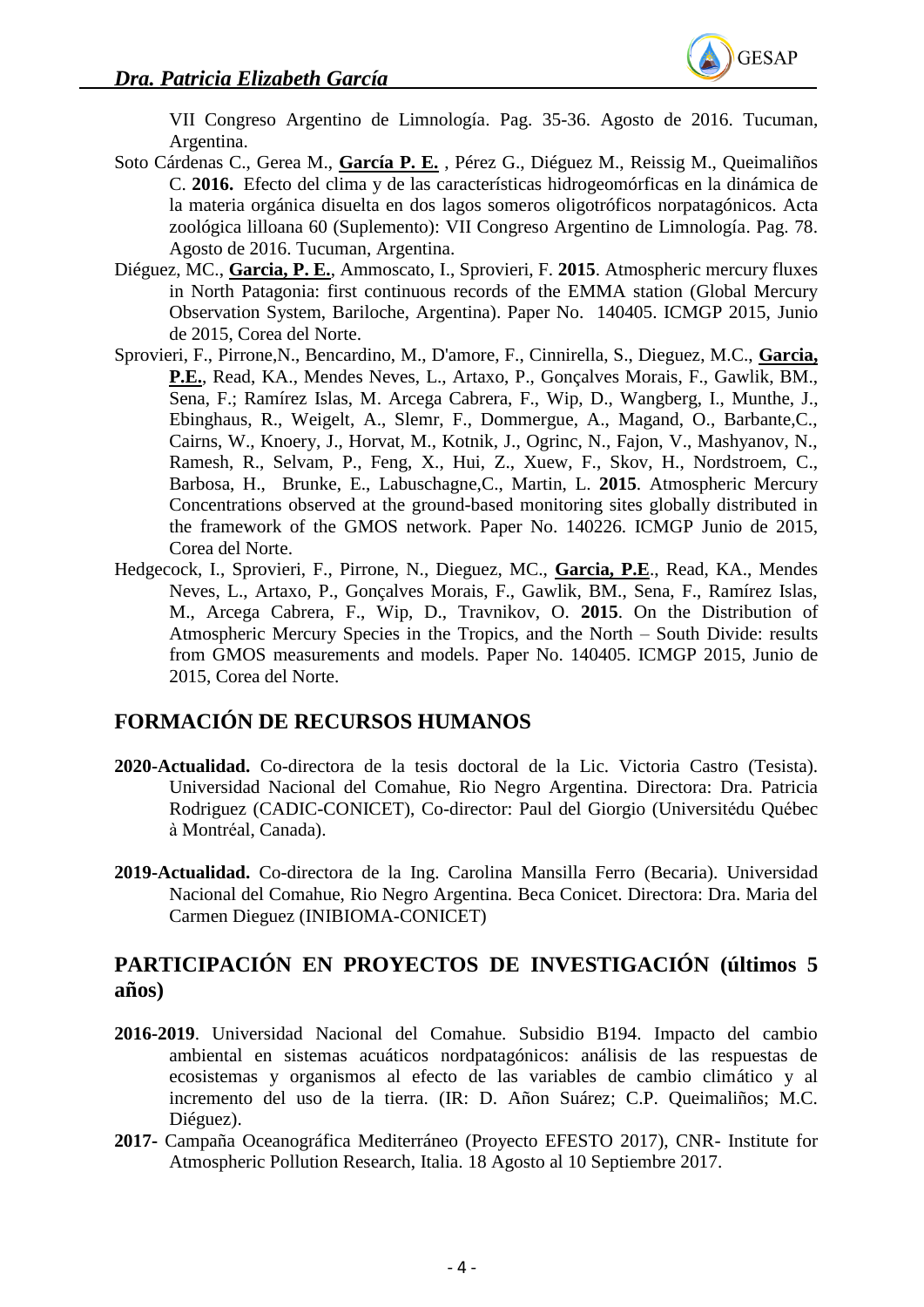

VII Congreso Argentino de Limnología. Pag. 35-36. Agosto de 2016. Tucuman, Argentina.

- Soto Cárdenas C., Gerea M., **García P. E.** , Pérez G., Diéguez M., Reissig M., Queimaliños C. **2016.** Efecto del clima y de las características hidrogeomórficas en la dinámica de la materia orgánica disuelta en dos lagos someros oligotróficos norpatagónicos. Acta zoológica lilloana 60 (Suplemento): VII Congreso Argentino de Limnología. Pag. 78. Agosto de 2016. Tucuman, Argentina.
- Diéguez, MC., **Garcia, P. E.**, Ammoscato, I., Sprovieri, F. **2015**. Atmospheric mercury fluxes in North Patagonia: first continuous records of the EMMA station (Global Mercury Observation System, Bariloche, Argentina). Paper No. 140405. ICMGP 2015, Junio de 2015, Corea del Norte.
- Sprovieri, F., Pirrone,N., Bencardino, M., D'amore, F., Cinnirella, S., Dieguez, M.C., **Garcia, P.E.**, Read, KA., Mendes Neves, L., Artaxo, P., Gonçalves Morais, F., Gawlik, BM., Sena, F.; Ramírez Islas, M. Arcega Cabrera, F., Wip, D., Wangberg, I., Munthe, J., Ebinghaus, R., Weigelt, A., Slemr, F., Dommergue, A., Magand, O., Barbante,C., Cairns, W., Knoery, J., Horvat, M., Kotnik, J., Ogrinc, N., Fajon, V., Mashyanov, N., Ramesh, R., Selvam, P., Feng, X., Hui, Z., Xuew, F., Skov, H., Nordstroem, C., Barbosa, H., Brunke, E., Labuschagne,C., Martin, L. **2015**. Atmospheric Mercury Concentrations observed at the ground-based monitoring sites globally distributed in the framework of the GMOS network. Paper No. 140226. ICMGP Junio de 2015, Corea del Norte.
- Hedgecock, I., Sprovieri, F., Pirrone, N., Dieguez, MC., **Garcia, P.E**., Read, KA., Mendes Neves, L., Artaxo, P., Gonçalves Morais, F., Gawlik, BM., Sena, F., Ramírez Islas, M., Arcega Cabrera, F., Wip, D., Travnikov, O. **2015**. On the Distribution of Atmospheric Mercury Species in the Tropics, and the North – South Divide: results from GMOS measurements and models. Paper No. 140405. ICMGP 2015, Junio de 2015, Corea del Norte.

# **FORMACIÓN DE RECURSOS HUMANOS**

- **2020-Actualidad.** Co-directora de la tesis doctoral de la Lic. Victoria Castro (Tesista). Universidad Nacional del Comahue, Rio Negro Argentina. Directora: Dra. Patricia Rodriguez (CADIC-CONICET), Co-director: Paul del Giorgio (Universitédu Québec à Montréal, Canada).
- **2019-Actualidad.** Co-directora de la Ing. Carolina Mansilla Ferro (Becaria). Universidad Nacional del Comahue, Rio Negro Argentina. Beca Conicet. Directora: Dra. Maria del Carmen Dieguez (INIBIOMA-CONICET)

### **PARTICIPACIÓN EN PROYECTOS DE INVESTIGACIÓN (últimos 5 años)**

- **2016-2019**. Universidad Nacional del Comahue. Subsidio B194. Impacto del cambio ambiental en sistemas acuáticos nordpatagónicos: análisis de las respuestas de ecosistemas y organismos al efecto de las variables de cambio climático y al incremento del uso de la tierra. (IR: D. Añon Suárez; C.P. Queimaliños; M.C. Diéguez).
- **2017-** Campaña Oceanográfica Mediterráneo (Proyecto EFESTO 2017), CNR- Institute for Atmospheric Pollution Research, Italia. 18 Agosto al 10 Septiembre 2017.